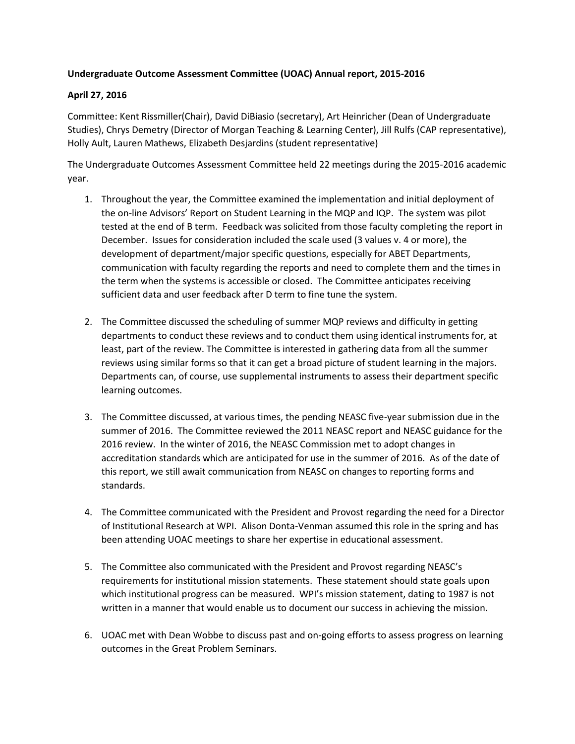## **Undergraduate Outcome Assessment Committee (UOAC) Annual report, 2015-2016**

## **April 27, 2016**

Committee: Kent Rissmiller(Chair), David DiBiasio (secretary), Art Heinricher (Dean of Undergraduate Studies), Chrys Demetry (Director of Morgan Teaching & Learning Center), Jill Rulfs (CAP representative), Holly Ault, Lauren Mathews, Elizabeth Desjardins (student representative)

The Undergraduate Outcomes Assessment Committee held 22 meetings during the 2015-2016 academic year.

- 1. Throughout the year, the Committee examined the implementation and initial deployment of the on-line Advisors' Report on Student Learning in the MQP and IQP. The system was pilot tested at the end of B term. Feedback was solicited from those faculty completing the report in December. Issues for consideration included the scale used (3 values v. 4 or more), the development of department/major specific questions, especially for ABET Departments, communication with faculty regarding the reports and need to complete them and the times in the term when the systems is accessible or closed. The Committee anticipates receiving sufficient data and user feedback after D term to fine tune the system.
- 2. The Committee discussed the scheduling of summer MQP reviews and difficulty in getting departments to conduct these reviews and to conduct them using identical instruments for, at least, part of the review. The Committee is interested in gathering data from all the summer reviews using similar forms so that it can get a broad picture of student learning in the majors. Departments can, of course, use supplemental instruments to assess their department specific learning outcomes.
- 3. The Committee discussed, at various times, the pending NEASC five-year submission due in the summer of 2016. The Committee reviewed the 2011 NEASC report and NEASC guidance for the 2016 review. In the winter of 2016, the NEASC Commission met to adopt changes in accreditation standards which are anticipated for use in the summer of 2016. As of the date of this report, we still await communication from NEASC on changes to reporting forms and standards.
- 4. The Committee communicated with the President and Provost regarding the need for a Director of Institutional Research at WPI. Alison Donta-Venman assumed this role in the spring and has been attending UOAC meetings to share her expertise in educational assessment.
- 5. The Committee also communicated with the President and Provost regarding NEASC's requirements for institutional mission statements. These statement should state goals upon which institutional progress can be measured. WPI's mission statement, dating to 1987 is not written in a manner that would enable us to document our success in achieving the mission.
- 6. UOAC met with Dean Wobbe to discuss past and on-going efforts to assess progress on learning outcomes in the Great Problem Seminars.